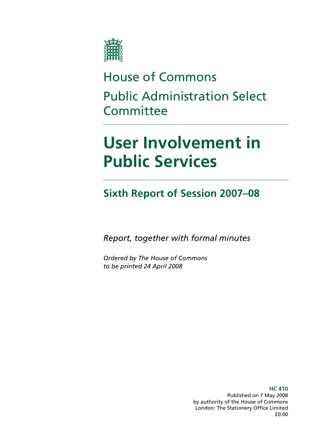

# House of Commons Public Administration Select **Committee**

# **User Involvement in Public Services**

## **Sixth Report of Session 2007–08**

*Report, together with formal minutes* 

*Ordered by The House of Commons to be printed 24 April 2008* 

> **HC 410**  Published on 7 May 2008 by authority of the House of Commons London: The Stationery Office Limited £0.00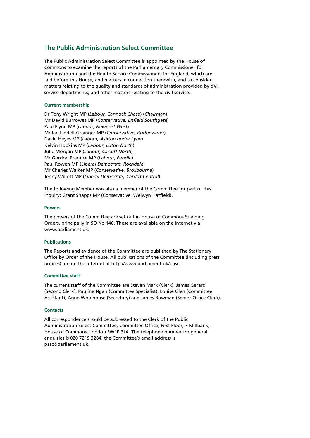#### **The Public Administration Select Committee**

The Public Administration Select Committee is appointed by the House of Commons to examine the reports of the Parliamentary Commissioner for Administration and the Health Service Commissioners for England, which are laid before this House, and matters in connection therewith, and to consider matters relating to the quality and standards of administration provided by civil service departments, and other matters relating to the civil service.

#### **Current membership**

Dr Tony Wright MP (*Labour, Cannock Chase*) (*Chairman*) Mr David Burrowes MP (*Conservative, Enfield Southgate*) Paul Flynn MP (*Labour, Newport West*) Mr Ian Liddell-Grainger MP (*Conservative, Bridgewater*) David Heyes MP (*Labour, Ashton under Lyne*) Kelvin Hopkins MP (*Labour, Luton North*) Julie Morgan MP (*Labour, Cardiff North*) Mr Gordon Prentice MP (*Labour, Pendle*) Paul Rowen MP (*Liberal Democrats, Rochdale*) Mr Charles Walker MP (*Conservative, Broxbourne*) Jenny Willott MP (*Liberal Democrats, Cardiff Central*)

The following Member was also a member of the Committee for part of this inquiry: Grant Shapps MP (Conservative, Welwyn Hatfield).

#### **Powers**

The powers of the Committee are set out in House of Commons Standing Orders, principally in SO No 146. These are available on the Internet via www.parliament.uk.

#### **Publications**

The Reports and evidence of the Committee are published by The Stationery Office by Order of the House. All publications of the Committee (including press notices) are on the Internet at http://www.parliament.uk/pasc.

#### **Committee staff**

The current staff of the Committee are Steven Mark (Clerk), James Gerard (Second Clerk), Pauline Ngan (Committee Specialist), Louise Glen (Committee Assistant), Anne Woolhouse (Secretary) and James Bowman (Senior Office Clerk).

#### **Contacts**

All correspondence should be addressed to the Clerk of the Public Administration Select Committee, Committee Office, First Floor, 7 Millbank, House of Commons, London SW1P 3JA. The telephone number for general enquiries is 020 7219 3284; the Committee's email address is pasc@parliament.uk.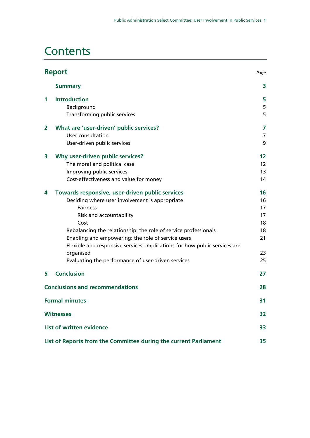### **Contents**

| <b>Report</b>                                                    |                                                                            | Page              |
|------------------------------------------------------------------|----------------------------------------------------------------------------|-------------------|
|                                                                  | <b>Summary</b>                                                             | 3                 |
| 1                                                                | <b>Introduction</b>                                                        | 5                 |
|                                                                  | Background                                                                 | 5                 |
|                                                                  | Transforming public services                                               | 5                 |
| $\overline{2}$                                                   | What are 'user-driven' public services?                                    | 7                 |
|                                                                  | User consultation                                                          | 7                 |
|                                                                  | User-driven public services                                                | 9                 |
| 3                                                                | Why user-driven public services?                                           | $12 \overline{ }$ |
|                                                                  | The moral and political case                                               | 12                |
|                                                                  | Improving public services                                                  | 13                |
|                                                                  | Cost-effectiveness and value for money                                     | 14                |
| 4                                                                | Towards responsive, user-driven public services                            | 16                |
|                                                                  | Deciding where user involvement is appropriate                             | 16                |
|                                                                  | <b>Fairness</b>                                                            | 17                |
|                                                                  | Risk and accountability                                                    | 17                |
|                                                                  | Cost                                                                       | 18                |
|                                                                  | Rebalancing the relationship: the role of service professionals            | 18                |
|                                                                  | Enabling and empowering: the role of service users                         | 21                |
|                                                                  | Flexible and responsive services: implications for how public services are |                   |
|                                                                  | organised                                                                  | 23                |
|                                                                  | Evaluating the performance of user-driven services                         | 25                |
| 5                                                                | <b>Conclusion</b>                                                          | 27                |
|                                                                  | <b>Conclusions and recommendations</b>                                     | 28                |
|                                                                  | <b>Formal minutes</b>                                                      | 31                |
|                                                                  | <b>Witnesses</b>                                                           | 32                |
|                                                                  | <b>List of written evidence</b>                                            | 33                |
|                                                                  |                                                                            |                   |
| List of Reports from the Committee during the current Parliament |                                                                            |                   |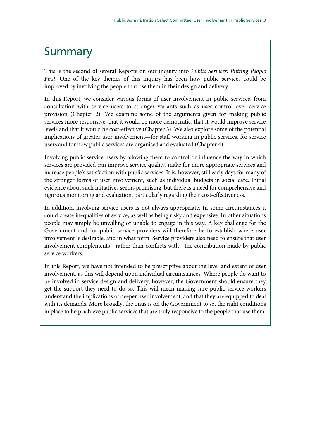### **Summary**

This is the second of several Reports on our inquiry into *Public Services: Putting People First*. One of the key themes of this inquiry has been how public services could be improved by involving the people that use them in their design and delivery.

In this Report, we consider various forms of user involvement in public services, from consultation with service users to stronger variants such as user control over service provision (Chapter 2). We examine some of the arguments given for making public services more responsive: that it would be more democratic, that it would improve service levels and that it would be cost-effective (Chapter 3). We also explore some of the potential implications of greater user involvement—for staff working in public services, for service users and for how public services are organised and evaluated (Chapter 4).

Involving public service users by allowing them to control or influence the way in which services are provided can improve service quality, make for more appropriate services and increase people's satisfaction with public services. It is, however, still early days for many of the stronger forms of user involvement, such as individual budgets in social care. Initial evidence about such initiatives seems promising, but there is a need for comprehensive and rigorous monitoring and evaluation, particularly regarding their cost-effectiveness.

In addition, involving service users is not always appropriate. In some circumstances it could create inequalities of service, as well as being risky and expensive. In other situations people may simply be unwilling or unable to engage in this way. A key challenge for the Government and for public service providers will therefore be to establish where user involvement is desirable, and in what form. Service providers also need to ensure that user involvement complements—rather than conflicts with—the contribution made by public service workers.

In this Report, we have not intended to be prescriptive about the level and extent of user involvement, as this will depend upon individual circumstances. Where people do want to be involved in service design and delivery, however, the Government should ensure they get the support they need to do so. This will mean making sure public service workers understand the implications of deeper user involvement, and that they are equipped to deal with its demands. More broadly, the onus is on the Government to set the right conditions in place to help achieve public services that are truly responsive to the people that use them.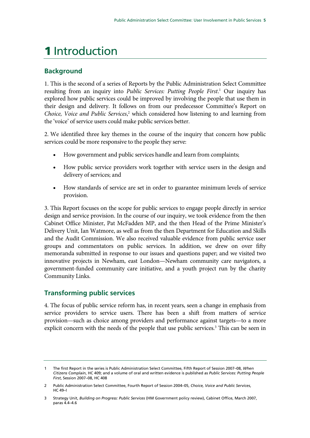## 1 Introduction

#### **Background**

1. This is the second of a series of Reports by the Public Administration Select Committee resulting from an inquiry into *Public Services: Putting People First*. 1 Our inquiry has explored how public services could be improved by involving the people that use them in their design and delivery. It follows on from our predecessor Committee's Report on Choice, Voice and Public Services,<sup>2</sup> which considered how listening to and learning from the 'voice' of service users could make public services better.

2. We identified three key themes in the course of the inquiry that concern how public services could be more responsive to the people they serve:

- How government and public services handle and learn from complaints;
- How public service providers work together with service users in the design and delivery of services; and
- How standards of service are set in order to guarantee minimum levels of service provision.

3. This Report focuses on the scope for public services to engage people directly in service design and service provision. In the course of our inquiry, we took evidence from the then Cabinet Office Minister, Pat McFadden MP, and the then Head of the Prime Minister's Delivery Unit, Ian Watmore, as well as from the then Department for Education and Skills and the Audit Commission. We also received valuable evidence from public service user groups and commentators on public services. In addition, we drew on over fifty memoranda submitted in response to our issues and questions paper; and we visited two innovative projects in Newham, east London—Newham community care navigators, a government-funded community care initiative, and a youth project run by the charity Community Links.

#### **Transforming public services**

4. The focus of public service reform has, in recent years, seen a change in emphasis from service providers to service users. There has been a shift from matters of service provision—such as choice among providers and performance against targets—to a more explicit concern with the needs of the people that use public services.<sup>3</sup> This can be seen in

<sup>1</sup> The first Report in the series is Public Administration Select Committee, Fifth Report of Session 2007–08, *When Citizens Complain*, HC 409; and a volume of oral and written evidence is published as *Public Services: Putting People First*, Session 2007–08, HC 408

<sup>2</sup> Public Administration Select Committee, Fourth Report of Session 2004–05, *Choice, Voice and Public Services*, HC 49–I

<sup>3</sup> Strategy Unit, *Building on Progress: Public Services* (HM Government policy review), Cabinet Office, March 2007, paras 4.4–4.6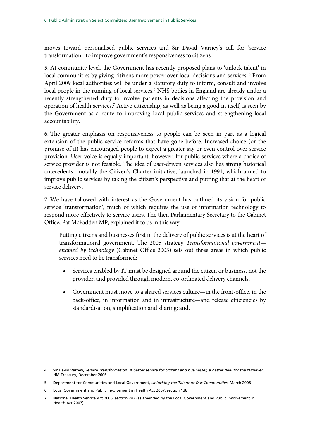moves toward personalised public services and Sir David Varney's call for 'service transformation'4 to improve government's responsiveness to citizens.

5. At community level, the Government has recently proposed plans to 'unlock talent' in local communities by giving citizens more power over local decisions and services.<sup>5</sup> From April 2009 local authorities will be under a statutory duty to inform, consult and involve local people in the running of local services.<sup>6</sup> NHS bodies in England are already under a recently strengthened duty to involve patients in decisions affecting the provision and operation of health services.7 Active citizenship, as well as being a good in itself, is seen by the Government as a route to improving local public services and strengthening local accountability.

6. The greater emphasis on responsiveness to people can be seen in part as a logical extension of the public service reforms that have gone before. Increased choice (or the promise of it) has encouraged people to expect a greater say or even control over service provision. User voice is equally important, however, for public services where a choice of service provider is not feasible. The idea of user-driven services also has strong historical antecedents—notably the Citizen's Charter initiative, launched in 1991, which aimed to improve public services by taking the citizen's perspective and putting that at the heart of service delivery.

7. We have followed with interest as the Government has outlined its vision for public service 'transformation', much of which requires the use of information technology to respond more effectively to service users. The then Parliamentary Secretary to the Cabinet Office, Pat McFadden MP, explained it to us in this way:

Putting citizens and businesses first in the delivery of public services is at the heart of transformational government. The 2005 strategy *Transformational government enabled by technology* (Cabinet Office 2005) sets out three areas in which public services need to be transformed:

- Services enabled by IT must be designed around the citizen or business, not the provider, and provided through modern, co-ordinated delivery channels;
- Government must move to a shared services culture—in the front-office, in the back-office, in information and in infrastructure—and release efficiencies by standardisation, simplification and sharing; and,

<sup>4</sup> Sir David Varney, *Service Transformation: A better service for citizens and businesses, a better deal for the taxpayer*, HM Treasury, December 2006

<sup>5</sup> Department for Communities and Local Government, *Unlocking the Talent of Our Communities*, March 2008

<sup>6</sup> Local Government and Public Involvement in Health Act 2007, section 138

<sup>7</sup> National Health Service Act 2006, section 242 (as amended by the Local Government and Public Involvement in Health Act 2007)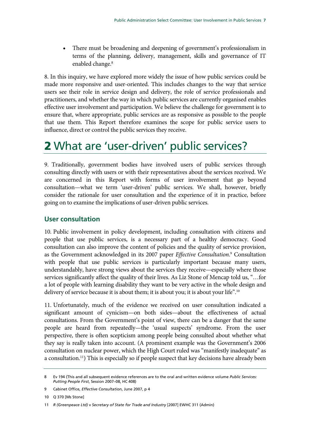• There must be broadening and deepening of government's professionalism in terms of the planning, delivery, management, skills and governance of IT enabled change.<sup>8</sup>

8. In this inquiry, we have explored more widely the issue of how public services could be made more responsive and user-oriented. This includes changes to the way that service users see their role in service design and delivery, the role of service professionals and practitioners, and whether the way in which public services are currently organised enables effective user involvement and participation. We believe the challenge for government is to ensure that, where appropriate, public services are as responsive as possible to the people that use them. This Report therefore examines the scope for public service users to influence, direct or control the public services they receive.

### 2 What are 'user-driven' public services?

9. Traditionally, government bodies have involved users of public services through consulting directly with users or with their representatives about the services received. We are concerned in this Report with forms of user involvement that go beyond consultation—what we term 'user-driven' public services. We shall, however, briefly consider the rationale for user consultation and the experience of it in practice, before going on to examine the implications of user-driven public services.

#### **User consultation**

10. Public involvement in policy development, including consultation with citizens and people that use public services, is a necessary part of a healthy democracy. Good consultation can also improve the content of policies and the quality of service provision, as the Government acknowledged in its 2007 paper *Effective Consultation*.<sup>9</sup> Consultation with people that use public services is particularly important because many users, understandably, have strong views about the services they receive—especially where those services significantly affect the quality of their lives. As Liz Stone of Mencap told us, "…for a lot of people with learning disability they want to be very active in the whole design and delivery of service because it is about them; it is about you; it is about your life".<sup>10</sup>

11. Unfortunately, much of the evidence we received on user consultation indicated a significant amount of cynicism—on both sides—about the effectiveness of actual consultations. From the Government's point of view, there can be a danger that the same people are heard from repeatedly—the 'usual suspects' syndrome. From the user perspective, there is often scepticism among people being consulted about whether what they say is really taken into account. (A prominent example was the Government's 2006 consultation on nuclear power, which the High Court ruled was "manifestly inadequate" as a consultation.<sup>11</sup>) This is especially so if people suspect that key decisions have already been

<sup>8</sup> Ev 194 (This and all subsequent evidence references are to the oral and written evidence volume *Public Services: Putting People First*, Session 2007–08, HC 408)

<sup>9</sup> Cabinet Office, *Effective Consultation*, June 2007, p 4

<sup>10</sup> Q 370 [Ms Stone]

<sup>11</sup> *R (Greenpeace Ltd)* v *Secretary of State for Trade and Industry* [2007] EWHC 311 (Admin)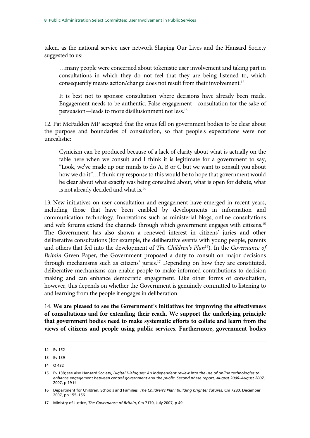taken, as the national service user network Shaping Our Lives and the Hansard Society suggested to us:

…many people were concerned about tokenistic user involvement and taking part in consultations in which they do not feel that they are being listened to, which consequently means action/change does not result from their involvement.<sup>12</sup>

It is best not to sponsor consultation where decisions have already been made. Engagement needs to be authentic. False engagement—consultation for the sake of persuasion—leads to more disillusionment not less.13

12. Pat McFadden MP accepted that the onus fell on government bodies to be clear about the purpose and boundaries of consultation, so that people's expectations were not unrealistic:

Cynicism can be produced because of a lack of clarity about what is actually on the table here when we consult and I think it is legitimate for a government to say, "Look, we've made up our minds to do A, B or C but we want to consult you about how we do it"…I think my response to this would be to hope that government would be clear about what exactly was being consulted about, what is open for debate, what is not already decided and what is.<sup>14</sup>

13. New initiatives on user consultation and engagement have emerged in recent years, including those that have been enabled by developments in information and communication technology. Innovations such as ministerial blogs, online consultations and web forums extend the channels through which government engages with citizens.15 The Government has also shown a renewed interest in citizens' juries and other deliberative consultations (for example, the deliberative events with young people, parents and others that fed into the development of *The Children's Plan*16). In the *Governance of Britain* Green Paper, the Government proposed a duty to consult on major decisions through mechanisms such as citizens' juries.17 Depending on how they are constituted, deliberative mechanisms can enable people to make informed contributions to decision making and can enhance democratic engagement. Like other forms of consultation, however, this depends on whether the Government is genuinely committed to listening to and learning from the people it engages in deliberation.

14. **We are pleased to see the Government's initiatives for improving the effectiveness of consultations and for extending their reach. We support the underlying principle that government bodies need to make systematic efforts to collate and learn from the views of citizens and people using public services. Furthermore, government bodies** 

14 Q 432

17 Ministry of Justice, *The Governance of Britain*, Cm 7170, July 2007, p 49

<sup>12</sup> Ev 152

<sup>13</sup> Ev 139

<sup>15</sup> Ev 138; see also Hansard Society, *Digital Dialogues: An independent review into the use of online technologies to enhance engagement between central government and the public. Second phase report, August 2006–August 2007*, 2007, p 19 ff

<sup>16</sup> Department for Children, Schools and Families, *The Children's Plan: building brighter futures*, Cm 7280, December 2007, pp 155–156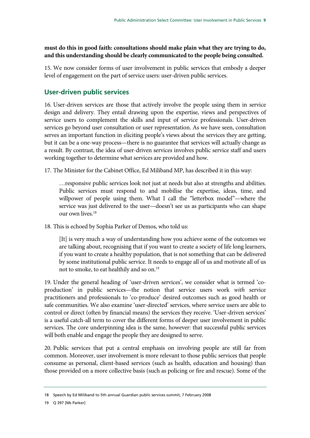#### **must do this in good faith: consultations should make plain what they are trying to do, and this understanding should be clearly communicated to the people being consulted.**

15. We now consider forms of user involvement in public services that embody a deeper level of engagement on the part of service users: user-driven public services.

### **User-driven public services**

16. User-driven services are those that actively involve the people using them in service design and delivery. They entail drawing upon the expertise, views and perspectives of service users to complement the skills and input of service professionals. User-driven services go beyond user consultation or user representation. As we have seen, consultation serves an important function in eliciting people's views about the services they are getting, but it can be a one-way process—there is no guarantee that services will actually change as a result. By contrast, the idea of user-driven services involves public service staff and users working together to determine what services are provided and how.

17. The Minister for the Cabinet Office, Ed Miliband MP, has described it in this way:

…responsive public services look not just at needs but also at strengths and abilities. Public services must respond to and mobilise the expertise, ideas, time, and willpower of people using them. What I call the "letterbox model"—where the service was just delivered to the user—doesn't see us as participants who can shape our own lives.<sup>18</sup>

18. This is echoed by Sophia Parker of Demos, who told us:

[It] is very much a way of understanding how you achieve some of the outcomes we are talking about, recognising that if you want to create a society of life long learners, if you want to create a healthy population, that is not something that can be delivered by some institutional public service. It needs to engage all of us and motivate all of us not to smoke, to eat healthily and so on.<sup>19</sup>

19. Under the general heading of 'user-driven services', we consider what is termed 'coproduction' in public services—the notion that service users work *with* service practitioners and professionals to 'co-produce' desired outcomes such as good health or safe communities. We also examine 'user-directed' services, where service users are able to control or direct (often by financial means) the services they receive. 'User-driven services' is a useful catch-all term to cover the different forms of deeper user involvement in public services. The core underpinning idea is the same, however: that successful public services will both enable and engage the people they are designed to serve.

20. Public services that put a central emphasis on involving people are still far from common. Moreover, user involvement is more relevant to those public services that people consume as personal, client-based services (such as health, education and housing) than those provided on a more collective basis (such as policing or fire and rescue). Some of the

<sup>18</sup> Speech by Ed Miliband to 5th annual Guardian public services summit, 7 February 2008

<sup>19</sup> Q 397 [Ms Parker]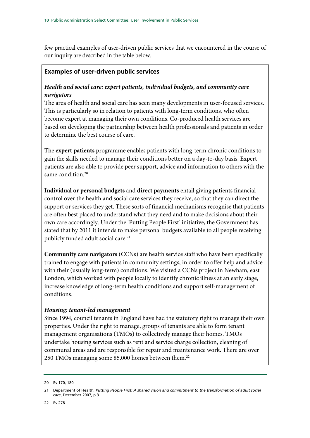few practical examples of user-driven public services that we encountered in the course of our inquiry are described in the table below.

#### **Examples of user-driven public services**

### *Health and social care: expert patients, individual budgets, and community care navigators*

The area of health and social care has seen many developments in user-focused services. This is particularly so in relation to patients with long-term conditions, who often become expert at managing their own conditions. Co-produced health services are based on developing the partnership between health professionals and patients in order to determine the best course of care.

The **expert patients** programme enables patients with long-term chronic conditions to gain the skills needed to manage their conditions better on a day-to-day basis. Expert patients are also able to provide peer support, advice and information to others with the same condition.<sup>20</sup>

**Individual or personal budgets** and **direct payments** entail giving patients financial control over the health and social care services they receive, so that they can direct the support or services they get. These sorts of financial mechanisms recognise that patients are often best placed to understand what they need and to make decisions about their own care accordingly. Under the 'Putting People First' initiative, the Government has stated that by 2011 it intends to make personal budgets available to all people receiving publicly funded adult social care.<sup>21</sup>

**Community care navigators** (CCNs) are health service staff who have been specifically trained to engage with patients in community settings, in order to offer help and advice with their (usually long-term) conditions. We visited a CCNs project in Newham, east London, which worked with people locally to identify chronic illness at an early stage, increase knowledge of long-term health conditions and support self-management of conditions.

#### *Housing: tenant-led management*

Since 1994, council tenants in England have had the statutory right to manage their own properties. Under the right to manage, groups of tenants are able to form tenant management organisations (TMOs) to collectively manage their homes. TMOs undertake housing services such as rent and service charge collection, cleaning of communal areas and are responsible for repair and maintenance work. There are over 250 TMOs managing some 85,000 homes between them.22

<sup>20</sup> Ev 170, 180

<sup>21</sup> Department of Health, *Putting People First: A shared vision and commitment to the transformation of adult social care*, December 2007, p 3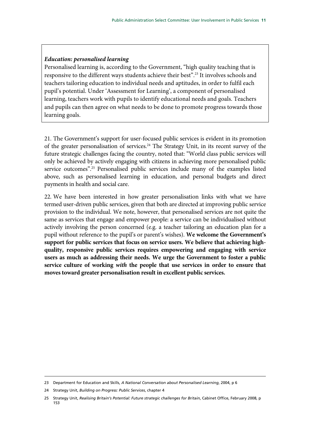#### *Education: personalised learning*

Personalised learning is, according to the Government, "high quality teaching that is responsive to the different ways students achieve their best".23 It involves schools and teachers tailoring education to individual needs and aptitudes, in order to fulfil each pupil's potential. Under 'Assessment for Learning', a component of personalised learning, teachers work with pupils to identify educational needs and goals. Teachers and pupils can then agree on what needs to be done to promote progress towards those learning goals.

21. The Government's support for user-focused public services is evident in its promotion of the greater personalisation of services.<sup>24</sup> The Strategy Unit, in its recent survey of the future strategic challenges facing the country, noted that: "World class public services will only be achieved by actively engaging with citizens in achieving more personalised public service outcomes".<sup>25</sup> Personalised public services include many of the examples listed above, such as personalised learning in education, and personal budgets and direct payments in health and social care.

22. We have been interested in how greater personalisation links with what we have termed user-driven public services, given that both are directed at improving public service provision to the individual. We note, however, that personalised services are not quite the same as services that engage and empower people: a service can be individualised without actively involving the person concerned (e.g. a teacher tailoring an education plan for a pupil without reference to the pupil's or parent's wishes). **We welcome the Government's support for public services that focus on service users. We believe that achieving highquality, responsive public services requires empowering and engaging with service users as much as addressing their needs. We urge the Government to foster a public service culture of working** *with* **the people that use services in order to ensure that moves toward greater personalisation result in excellent public services.** 

-

<sup>23</sup> Department for Education and Skills, *A National Conversation about Personalised Learning*, 2004, p 6

<sup>24</sup> Strategy Unit, *Building on Progress: Public Services*, chapter 4

<sup>25</sup> Strategy Unit, *Realising Britain's Potential: Future strategic challenges for Britain*, Cabinet Office, February 2008, p 153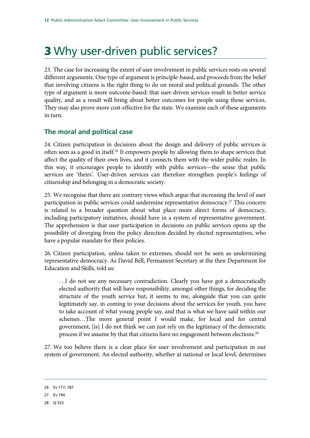## 3 Why user-driven public services?

23. The case for increasing the extent of user involvement in public services rests on several different arguments. One type of argument is principle-based, and proceeds from the belief that involving citizens is the right thing to do on moral and political grounds. The other type of argument is more outcome-based: that user-driven services result in better service quality, and as a result will bring about better outcomes for people using those services. They may also prove more cost-effective for the state. We examine each of these arguments in turn.

### **The moral and political case**

24. Citizen participation in decisions about the design and delivery of public services is often seen as a good in itself.26 It empowers people by allowing them to shape services that affect the quality of their own lives, and it connects them with the wider public realm. In this way, it encourages people to identify with public services—the sense that public services are 'theirs'. User-driven services can therefore strengthen people's feelings of citizenship and belonging in a democratic society.

25. We recognise that there are contrary views which argue that increasing the level of user participation in public services could undermine representative democracy.<sup>27</sup> This concern is related to a broader question about what place more direct forms of democracy, including participatory initiatives, should have in a system of representative government. The apprehension is that user participation in decisions on public services opens up the possibility of diverging from the policy direction decided by elected representatives, who have a popular mandate for their policies.

26. Citizen participation, unless taken to extremes, should not be seen as undermining representative democracy. As David Bell, Permanent Secretary at the then Department for Education and Skills, told us:

…I do not see any necessary contradiction. Clearly you have got a democratically elected authority that will have responsibility, amongst other things, for deciding the structure of the youth service but, it seems to me, alongside that you can quite legitimately say, in coming to your decisions about the services for youth, you have to take account of what young people say, and that is what we have said within our schemes…The more general point I would make, for local and for central government, [is] I do not think we can just rely on the legitimacy of the democratic process if we assume by that that citizens have no engagement between elections.28

27. We too believe there is a clear place for user involvement and participation in our system of government. An elected authority, whether at national or local level, determines

<sup>26</sup> Ev 177, 187

<sup>27</sup> Ev 194

<sup>28</sup> Q 522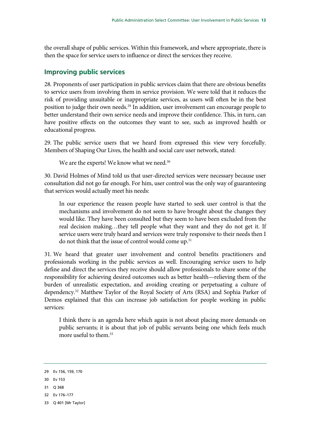the overall shape of public services. Within this framework, and where appropriate, there is then the space for service users to influence or direct the services they receive.

#### **Improving public services**

28. Proponents of user participation in public services claim that there are obvious benefits to service users from involving them in service provision. We were told that it reduces the risk of providing unsuitable or inappropriate services, as users will often be in the best position to judge their own needs.29 In addition, user involvement can encourage people to better understand their own service needs and improve their confidence. This, in turn, can have positive effects on the outcomes they want to see, such as improved health or educational progress.

29. The public service users that we heard from expressed this view very forcefully. Members of Shaping Our Lives, the health and social care user network, stated:

We are the experts! We know what we need.<sup>30</sup>

30. David Holmes of Mind told us that user-directed services were necessary because user consultation did not go far enough. For him, user control was the only way of guaranteeing that services would actually meet his needs:

In our experience the reason people have started to seek user control is that the mechanisms and involvement do not seem to have brought about the changes they would like. They have been consulted but they seem to have been excluded from the real decision making…they tell people what they want and they do not get it. If service users were truly heard and services were truly responsive to their needs then I do not think that the issue of control would come up.<sup>31</sup>

31. We heard that greater user involvement and control benefits practitioners and professionals working in the public services as well. Encouraging service users to help define and direct the services they receive should allow professionals to share some of the responsibility for achieving desired outcomes such as better health—relieving them of the burden of unrealistic expectation, and avoiding creating or perpetuating a culture of dependency.32 Matthew Taylor of the Royal Society of Arts (RSA) and Sophia Parker of Demos explained that this can increase job satisfaction for people working in public services:

I think there is an agenda here which again is not about placing more demands on public servants; it is about that job of public servants being one which feels much more useful to them.<sup>33</sup>

- 31 Q 368
- 32 Ev 176–177
- 33 Q 401 [Mr Taylor]

<sup>29</sup> Ev 156, 159, 170

<sup>30</sup> Ev 153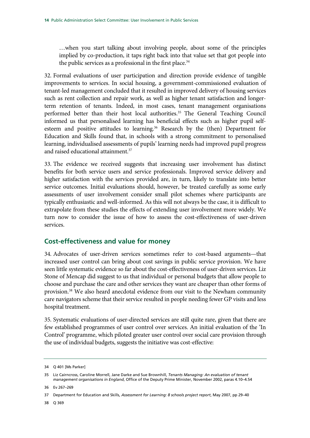…when you start talking about involving people, about some of the principles implied by co-production, it taps right back into that value set that got people into the public services as a professional in the first place.<sup>34</sup>

32. Formal evaluations of user participation and direction provide evidence of tangible improvements to services. In social housing, a government-commissioned evaluation of tenant-led management concluded that it resulted in improved delivery of housing services such as rent collection and repair work, as well as higher tenant satisfaction and longerterm retention of tenants. Indeed, in most cases, tenant management organisations performed better than their host local authorities.<sup>35</sup> The General Teaching Council informed us that personalised learning has beneficial effects such as higher pupil selfesteem and positive attitudes to learning.<sup>36</sup> Research by the (then) Department for Education and Skills found that, in schools with a strong commitment to personalised learning, individualised assessments of pupils' learning needs had improved pupil progress and raised educational attainment.<sup>37</sup>

33. The evidence we received suggests that increasing user involvement has distinct benefits for both service users and service professionals. Improved service delivery and higher satisfaction with the services provided are, in turn, likely to translate into better service outcomes. Initial evaluations should, however, be treated carefully as some early assessments of user involvement consider small pilot schemes where participants are typically enthusiastic and well-informed. As this will not always be the case, it is difficult to extrapolate from these studies the effects of extending user involvement more widely. We turn now to consider the issue of how to assess the cost-effectiveness of user-driven services.

### **Cost-effectiveness and value for money**

34. Advocates of user-driven services sometimes refer to cost-based arguments—that increased user control can bring about cost savings in public service provision. We have seen little systematic evidence so far about the cost-effectiveness of user-driven services. Liz Stone of Mencap did suggest to us that individual or personal budgets that allow people to choose and purchase the care and other services they want are cheaper than other forms of provision.38 We also heard anecdotal evidence from our visit to the Newham community care navigators scheme that their service resulted in people needing fewer GP visits and less hospital treatment.

35. Systematic evaluations of user-directed services are still quite rare, given that there are few established programmes of user control over services. An initial evaluation of the 'In Control' programme, which piloted greater user control over social care provision through the use of individual budgets, suggests the initiative was cost-effective:

36 Ev 267–269

38 Q 369

<sup>34</sup> Q 401 [Ms Parker]

<sup>35</sup> Liz Cairncross, Caroline Morrell, Jane Darke and Sue Brownhill, *Tenants Managing: An evaluation of tenant management organisations in England*, Office of the Deputy Prime Minister, November 2002, paras 4.10–4.54

<sup>37</sup> Department for Education and Skills, *Assessment for Learning: 8 schools project report*, May 2007, pp 29–40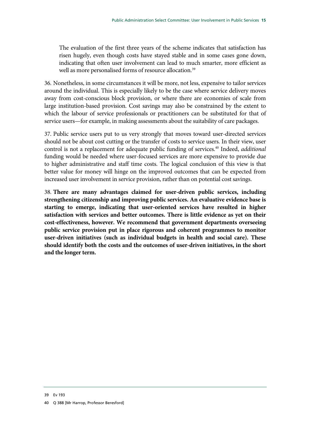The evaluation of the first three years of the scheme indicates that satisfaction has risen hugely, even though costs have stayed stable and in some cases gone down, indicating that often user involvement can lead to much smarter, more efficient as well as more personalised forms of resource allocation.<sup>39</sup>

36. Nonetheless, in some circumstances it will be more, not less, expensive to tailor services around the individual. This is especially likely to be the case where service delivery moves away from cost-conscious block provision, or where there are economies of scale from large institution-based provision. Cost savings may also be constrained by the extent to which the labour of service professionals or practitioners can be substituted for that of service users—for example, in making assessments about the suitability of care packages.

37. Public service users put to us very strongly that moves toward user-directed services should not be about cost cutting or the transfer of costs to service users. In their view, user control is not a replacement for adequate public funding of services.<sup>40</sup> Indeed, *additional* funding would be needed where user-focused services are more expensive to provide due to higher administrative and staff time costs. The logical conclusion of this view is that better value for money will hinge on the improved outcomes that can be expected from increased user involvement in service provision, rather than on potential cost savings.

38. **There are many advantages claimed for user-driven public services, including strengthening citizenship and improving public services. An evaluative evidence base is starting to emerge, indicating that user-oriented services have resulted in higher satisfaction with services and better outcomes. There is little evidence as yet on their cost-effectiveness, however. We recommend that government departments overseeing public service provision put in place rigorous and coherent programmes to monitor user-driven initiatives (such as individual budgets in health and social care). These should identify both the costs and the outcomes of user-driven initiatives, in the short and the longer term.**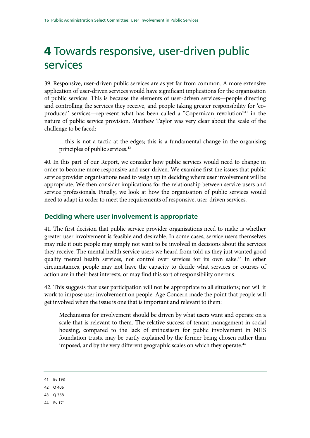## 4 Towards responsive, user-driven public services

39. Responsive, user-driven public services are as yet far from common. A more extensive application of user-driven services would have significant implications for the organisation of public services. This is because the elements of user-driven services—people directing and controlling the services they receive, and people taking greater responsibility for 'coproduced' services—represent what has been called a "Copernican revolution"41 in the nature of public service provision. Matthew Taylor was very clear about the scale of the challenge to be faced:

…this is not a tactic at the edges; this is a fundamental change in the organising principles of public services.42

40. In this part of our Report, we consider how public services would need to change in order to become more responsive and user-driven. We examine first the issues that public service provider organisations need to weigh up in deciding where user involvement will be appropriate. We then consider implications for the relationship between service users and service professionals. Finally, we look at how the organisation of public services would need to adapt in order to meet the requirements of responsive, user-driven services.

#### **Deciding where user involvement is appropriate**

41. The first decision that public service provider organisations need to make is whether greater user involvement is feasible and desirable. In some cases, service users themselves may rule it out: people may simply not want to be involved in decisions about the services they receive. The mental health service users we heard from told us they just wanted good quality mental health services, not control over services for its own sake.43 In other circumstances, people may not have the capacity to decide what services or courses of action are in their best interests, or may find this sort of responsibility onerous.

42. This suggests that user participation will not be appropriate to all situations; nor will it work to impose user involvement on people. Age Concern made the point that people will get involved when the issue is one that is important and relevant to them:

Mechanisms for involvement should be driven by what users want and operate on a scale that is relevant to them. The relative success of tenant management in social housing, compared to the lack of enthusiasm for public involvement in NHS foundation trusts, may be partly explained by the former being chosen rather than imposed, and by the very different geographic scales on which they operate.<sup>44</sup>

- 41 Ev 193
- 42 Q 406
- 43 Q 368
- 44 Ev 171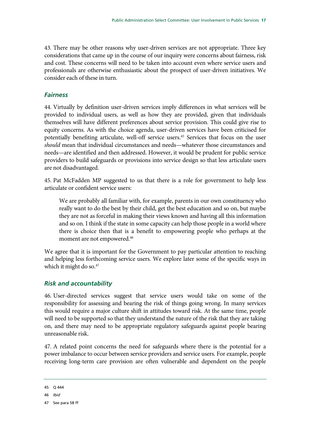43. There may be other reasons why user-driven services are not appropriate. Three key considerations that came up in the course of our inquiry were concerns about fairness, risk and cost. These concerns will need to be taken into account even where service users and professionals are otherwise enthusiastic about the prospect of user-driven initiatives. We consider each of these in turn.

#### *Fairness*

44. Virtually by definition user-driven services imply differences in what services will be provided to individual users, as well as how they are provided, given that individuals themselves will have different preferences about service provision. This could give rise to equity concerns. As with the choice agenda, user-driven services have been criticised for potentially benefiting articulate, well-off service users.45 Services that focus on the user *should* mean that individual circumstances and needs—whatever those circumstances and needs—are identified and then addressed. However, it would be prudent for public service providers to build safeguards or provisions into service design so that less articulate users are not disadvantaged.

45. Pat McFadden MP suggested to us that there is a role for government to help less articulate or confident service users:

We are probably all familiar with, for example, parents in our own constituency who really want to do the best by their child, get the best education and so on, but maybe they are not as forceful in making their views known and having all this information and so on. I think if the state in some capacity can help those people in a world where there is choice then that is a benefit to empowering people who perhaps at the moment are not empowered.46

We agree that it is important for the Government to pay particular attention to reaching and helping less forthcoming service users. We explore later some of the specific ways in which it might do so.<sup>47</sup>

#### *Risk and accountability*

46. User-directed services suggest that service users would take on some of the responsibility for assessing and bearing the risk of things going wrong. In many services this would require a major culture shift in attitudes toward risk. At the same time, people will need to be supported so that they understand the nature of the risk that they are taking on, and there may need to be appropriate regulatory safeguards against people bearing unreasonable risk.

47. A related point concerns the need for safeguards where there is the potential for a power imbalance to occur between service providers and service users. For example, people receiving long-term care provision are often vulnerable and dependent on the people

45 Q 444

46 *Ibid*

47 See para 58 ff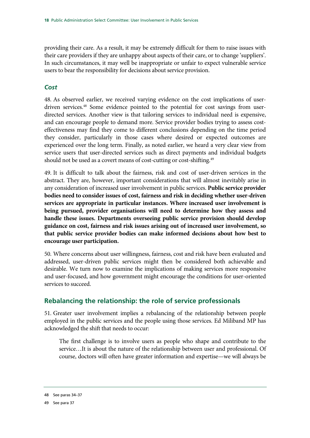providing their care. As a result, it may be extremely difficult for them to raise issues with their care providers if they are unhappy about aspects of their care, or to change 'suppliers'. In such circumstances, it may well be inappropriate or unfair to expect vulnerable service users to bear the responsibility for decisions about service provision.

#### *Cost*

48. As observed earlier, we received varying evidence on the cost implications of userdriven services.<sup>48</sup> Some evidence pointed to the potential for cost savings from userdirected services. Another view is that tailoring services to individual need is expensive, and can encourage people to demand more. Service provider bodies trying to assess costeffectiveness may find they come to different conclusions depending on the time period they consider, particularly in those cases where desired or expected outcomes are experienced over the long term. Finally, as noted earlier, we heard a very clear view from service users that user-directed services such as direct payments and individual budgets should not be used as a covert means of cost-cutting or cost-shifting.<sup>49</sup>

49. It is difficult to talk about the fairness, risk and cost of user-driven services in the abstract. They are, however, important considerations that will almost inevitably arise in any consideration of increased user involvement in public services. **Public service provider bodies need to consider issues of cost, fairness and risk in deciding whether user-driven services are appropriate in particular instances. Where increased user involvement is being pursued, provider organisations will need to determine how they assess and handle these issues. Departments overseeing public service provision should develop guidance on cost, fairness and risk issues arising out of increased user involvement, so that public service provider bodies can make informed decisions about how best to encourage user participation.**

50. Where concerns about user willingness, fairness, cost and risk have been evaluated and addressed, user-driven public services might then be considered both achievable and desirable. We turn now to examine the implications of making services more responsive and user-focused, and how government might encourage the conditions for user-oriented services to succeed.

### **Rebalancing the relationship: the role of service professionals**

51. Greater user involvement implies a rebalancing of the relationship between people employed in the public services and the people using those services. Ed Miliband MP has acknowledged the shift that needs to occur:

The first challenge is to involve users as people who shape and contribute to the service…It is about the nature of the relationship between user and professional. Of course, doctors will often have greater information and expertise—we will always be

<sup>48</sup> See paras 34–37

<sup>49</sup> See para 37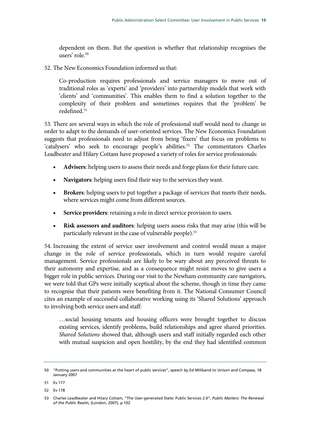dependent on them. But the question is whether that relationship recognises the users' role.50

52. The New Economics Foundation informed us that:

Co-production requires professionals and service managers to move out of traditional roles as 'experts' and 'providers' into partnership models that work with 'clients' and 'communities'. This enables them to find a solution together to the complexity of their problem and sometimes requires that the 'problem' be redefined.<sup>51</sup>

53. There are several ways in which the role of professional staff would need to change in order to adapt to the demands of user-oriented services. The New Economics Foundation suggests that professionals need to adjust from being 'fixers' that focus on problems to 'catalysers' who seek to encourage people's abilities.<sup>52</sup> The commentators Charles Leadbeater and Hilary Cottam have proposed a variety of roles for service professionals:

- **Advisers**: helping users to assess their needs and forge plans for their future care.
- **Navigators**: helping users find their way to the services they want.
- **Brokers**: helping users to put together a package of services that meets their needs, where services might come from different sources.
- Service providers: retaining a role in direct service provision to users.
- **Risk assessors and auditors**: helping users assess risks that may arise (this will be particularly relevant in the case of vulnerable people).<sup>53</sup>

54. Increasing the extent of service user involvement and control would mean a major change in the role of service professionals, which in turn would require careful management. Service professionals are likely to be wary about any perceived threats to their autonomy and expertise, and as a consequence might resist moves to give users a bigger role in public services. During our visit to the Newham community care navigators, we were told that GPs were initially sceptical about the scheme, though in time they came to recognise that their patients were benefiting from it. The National Consumer Council cites an example of successful collaborative working using its 'Shared Solutions' approach to involving both service users and staff:

…social housing tenants and housing officers were brought together to discuss existing services, identify problems, build relationships and agree shared priorities. *Shared Solutions* showed that, although users and staff initially regarded each other with mutual suspicion and open hostility, by the end they had identified common

<sup>50 &</sup>quot;Putting users and communities at the heart of public services", speech by Ed Miliband to Unison and Compass, 18 January 2007

<sup>51</sup> Ev 177

<sup>52</sup> Ev 178

<sup>53</sup> Charles Leadbeater and Hilary Cottam, "The User-generated State: Public Services 2.0", *Public Matters: The Renewal of the Public Realm*, (London, 2007), p 102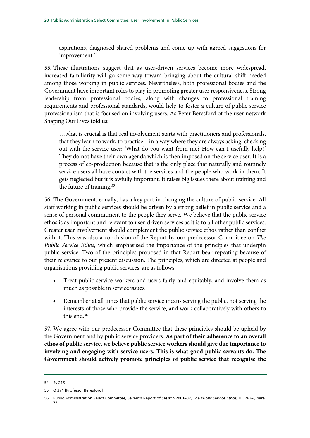aspirations, diagnosed shared problems and come up with agreed suggestions for improvement.<sup>54</sup>

55. These illustrations suggest that as user-driven services become more widespread, increased familiarity will go some way toward bringing about the cultural shift needed among those working in public services. Nevertheless, both professional bodies and the Government have important roles to play in promoting greater user responsiveness. Strong leadership from professional bodies, along with changes to professional training requirements and professional standards, would help to foster a culture of public service professionalism that is focused on involving users. As Peter Beresford of the user network Shaping Our Lives told us:

…what is crucial is that real involvement starts with practitioners and professionals, that they learn to work, to practise…in a way where they are always asking, checking out with the service user: 'What do you want from me? How can I usefully help?' They do not have their own agenda which is then imposed on the service user. It is a process of co-production because that is the only place that naturally and routinely service users all have contact with the services and the people who work in them. It gets neglected but it is awfully important. It raises big issues there about training and the future of training.<sup>55</sup>

56. The Government, equally, has a key part in changing the culture of public service. All staff working in public services should be driven by a strong belief in public service and a sense of personal commitment to the people they serve. We believe that the public service ethos is as important and relevant to user-driven services as it is to all other public services. Greater user involvement should complement the public service ethos rather than conflict with it. This was also a conclusion of the Report by our predecessor Committee on *The Public Service Ethos*, which emphasised the importance of the principles that underpin public service. Two of the principles proposed in that Report bear repeating because of their relevance to our present discussion. The principles, which are directed at people and organisations providing public services, are as follows:

- Treat public service workers and users fairly and equitably, and involve them as much as possible in service issues.
- Remember at all times that public service means serving the public, not serving the interests of those who provide the service, and work collaboratively with others to this end.<sup>56</sup>

57. We agree with our predecessor Committee that these principles should be upheld by the Government and by public service providers. **As part of their adherence to an overall ethos of public service, we believe public service workers should give due importance to involving and engaging with service users. This is what good public servants do. The Government should actively promote principles of public service that recognise the** 

<sup>54</sup> Ev 215

<sup>55</sup> Q 371 [Professor Beresford]

<sup>56</sup> Public Administration Select Committee, Seventh Report of Session 2001–02, *The Public Service Ethos*, HC 263–I, para 75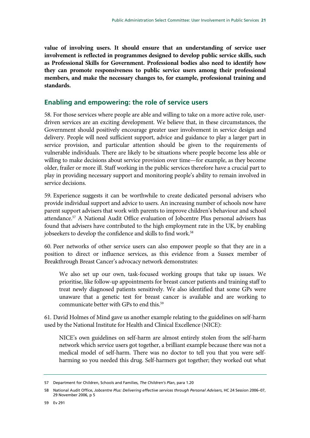**value of involving users. It should ensure that an understanding of service user involvement is reflected in programmes designed to develop public service skills, such as Professional Skills for Government. Professional bodies also need to identify how they can promote responsiveness to public service users among their professional members, and make the necessary changes to, for example, professional training and standards.**

#### **Enabling and empowering: the role of service users**

58. For those services where people are able and willing to take on a more active role, userdriven services are an exciting development. We believe that, in these circumstances, the Government should positively encourage greater user involvement in service design and delivery. People will need sufficient support, advice and guidance to play a larger part in service provision, and particular attention should be given to the requirements of vulnerable individuals. There are likely to be situations where people become less able or willing to make decisions about service provision over time—for example, as they become older, frailer or more ill. Staff working in the public services therefore have a crucial part to play in providing necessary support and monitoring people's ability to remain involved in service decisions.

59. Experience suggests it can be worthwhile to create dedicated personal advisers who provide individual support and advice to users. An increasing number of schools now have parent support advisers that work with parents to improve children's behaviour and school attendance.57 A National Audit Office evaluation of Jobcentre Plus personal advisers has found that advisers have contributed to the high employment rate in the UK, by enabling jobseekers to develop the confidence and skills to find work.<sup>58</sup>

60. Peer networks of other service users can also empower people so that they are in a position to direct or influence services, as this evidence from a Sussex member of Breakthrough Breast Cancer's advocacy network demonstrates:

We also set up our own, task-focused working groups that take up issues. We prioritise, like follow-up appointments for breast cancer patients and training staff to treat newly diagnosed patients sensitively. We also identified that some GPs were unaware that a genetic test for breast cancer is available and are working to communicate better with GPs to end this.<sup>59</sup>

61. David Holmes of Mind gave us another example relating to the guidelines on self-harm used by the National Institute for Health and Clinical Excellence (NICE):

NICE's own guidelines on self-harm are almost entirely stolen from the self-harm network which service users got together, a brilliant example because there was not a medical model of self-harm. There was no doctor to tell you that you were selfharming so you needed this drug. Self-harmers got together; they worked out what

<sup>57</sup> Department for Children, Schools and Families, *The Children's Plan*, para 1.20

<sup>58</sup> National Audit Office, *Jobcentre Plus: Delivering effective services through Personal Advisers*, HC 24 Session 2006–07, 29 November 2006, p 5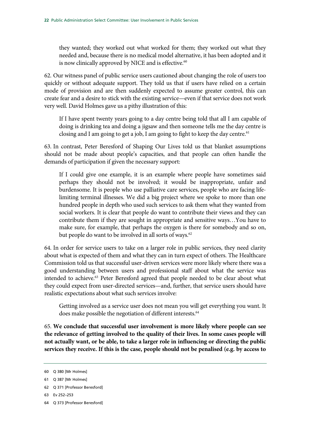they wanted; they worked out what worked for them; they worked out what they needed and, because there is no medical model alternative, it has been adopted and it is now clinically approved by NICE and is effective.<sup>60</sup>

62. Our witness panel of public service users cautioned about changing the role of users too quickly or without adequate support. They told us that if users have relied on a certain mode of provision and are then suddenly expected to assume greater control, this can create fear and a desire to stick with the existing service—even if that service does not work very well. David Holmes gave us a pithy illustration of this:

If I have spent twenty years going to a day centre being told that all I am capable of doing is drinking tea and doing a jigsaw and then someone tells me the day centre is closing and I am going to get a job, I am going to fight to keep the day centre.<sup>61</sup>

63. In contrast, Peter Beresford of Shaping Our Lives told us that blanket assumptions should not be made about people's capacities, and that people can often handle the demands of participation if given the necessary support:

If I could give one example, it is an example where people have sometimes said perhaps they should not be involved; it would be inappropriate, unfair and burdensome. It is people who use palliative care services, people who are facing lifelimiting terminal illnesses. We did a big project where we spoke to more than one hundred people in depth who used such services to ask them what they wanted from social workers. It is clear that people do want to contribute their views and they can contribute them if they are sought in appropriate and sensitive ways…You have to make sure, for example, that perhaps the oxygen is there for somebody and so on, but people do want to be involved in all sorts of ways.<sup>62</sup>

64. In order for service users to take on a larger role in public services, they need clarity about what is expected of them and what they can in turn expect of others. The Healthcare Commission told us that successful user-driven services were more likely where there was a good understanding between users and professional staff about what the service was intended to achieve.<sup>63</sup> Peter Beresford agreed that people needed to be clear about what they could expect from user-directed services—and, further, that service users should have realistic expectations about what such services involve:

Getting involved as a service user does not mean you will get everything you want. It does make possible the negotiation of different interests.<sup>64</sup>

65. **We conclude that successful user involvement is more likely where people can see the relevance of getting involved to the quality of their lives. In some cases people will not actually want, or be able, to take a larger role in influencing or directing the public services they receive. If this is the case, people should not be penalised (e.g. by access to** 

- 63 Ev 252–253
- 64 Q 373 [Professor Beresford]

<sup>60</sup> Q 380 [Mr Holmes]

<sup>61</sup> Q 387 [Mr Holmes]

<sup>62</sup> Q 371 [Professor Beresford]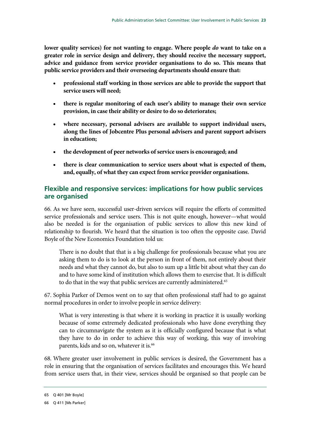**lower quality services) for not wanting to engage. Where people** *do* **want to take on a greater role in service design and delivery, they should receive the necessary support, advice and guidance from service provider organisations to do so. This means that public service providers and their overseeing departments should ensure that:**

- **professional staff working in those services are able to provide the support that service users will need;**
- **there is regular monitoring of each user's ability to manage their own service provision, in case their ability or desire to do so deteriorates;**
- **where necessary, personal advisers are available to support individual users, along the lines of Jobcentre Plus personal advisers and parent support advisers in education;**
- **the development of peer networks of service users is encouraged; and**
- **there is clear communication to service users about what is expected of them, and, equally, of what they can expect from service provider organisations.**

### **Flexible and responsive services: implications for how public services are organised**

66. As we have seen, successful user-driven services will require the efforts of committed service professionals and service users. This is not quite enough, however—what would also be needed is for the organisation of public services to allow this new kind of relationship to flourish. We heard that the situation is too often the opposite case. David Boyle of the New Economics Foundation told us:

There is no doubt that that is a big challenge for professionals because what you are asking them to do is to look at the person in front of them, not entirely about their needs and what they cannot do, but also to sum up a little bit about what they can do and to have some kind of institution which allows them to exercise that. It is difficult to do that in the way that public services are currently administered.<sup>65</sup>

67. Sophia Parker of Demos went on to say that often professional staff had to go against normal procedures in order to involve people in service delivery:

What is very interesting is that where it is working in practice it is usually working because of some extremely dedicated professionals who have done everything they can to circumnavigate the system as it is officially configured because that is what they have to do in order to achieve this way of working, this way of involving parents, kids and so on, whatever it is.<sup>66</sup>

68. Where greater user involvement in public services is desired, the Government has a role in ensuring that the organisation of services facilitates and encourages this. We heard from service users that, in their view, services should be organised so that people can be

<sup>65</sup> Q 401 [Mr Boyle]

<sup>66</sup> Q 411 [Ms Parker]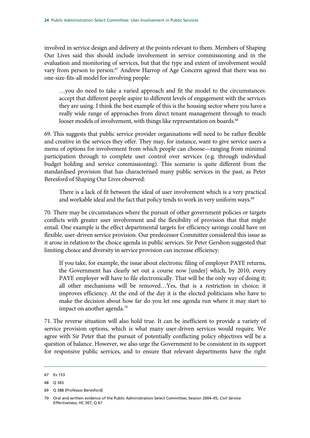involved in service design and delivery at the points relevant to them. Members of Shaping Our Lives said this should include involvement in service commissioning and in the evaluation and monitoring of services, but that the type and extent of involvement would vary from person to person.<sup>67</sup> Andrew Harrop of Age Concern agreed that there was no one-size-fits-all model for involving people:

…you do need to take a varied approach and fit the model to the circumstances: accept that different people aspire to different levels of engagement with the services they are using. I think the best example of this is the housing sector where you have a really wide range of approaches from direct tenant management through to much looser models of involvement, with things like representation on boards.<sup>68</sup>

69. This suggests that public service provider organisations will need to be rather flexible and creative in the services they offer. They may, for instance, want to give service users a menu of options for involvement from which people can choose—ranging from minimal participation through to complete user control over services (e.g. through individual budget holding and service commissioning). This scenario is quite different from the standardised provision that has characterised many public services in the past, as Peter Beresford of Shaping Our Lives observed:

There is a lack of fit between the ideal of user involvement which is a very practical and workable ideal and the fact that policy tends to work in very uniform ways.<sup>69</sup>

70. There may be circumstances where the pursuit of other government policies or targets conflicts with greater user involvement and the flexibility of provision that that might entail. One example is the effect departmental targets for efficiency savings could have on flexible, user-driven service provision. Our predecessor Committee considered this issue as it arose in relation to the choice agenda in public services. Sir Peter Gershon suggested that limiting choice and diversity in service provision can increase efficiency:

If you take, for example, the issue about electronic filing of employer PAYE returns, the Government has clearly set out a course now [under] which, by 2010, every PAYE employer will have to file electronically. That will be the only way of doing it; all other mechanisms will be removed…Yes, that is a restriction in choice; it improves efficiency. At the end of the day it is the elected politicians who have to make the decision about how far do you let one agenda run where it may start to impact on another agenda.<sup>70</sup>

71. The reverse situation will also hold true. It can be inefficient to provide a variety of service provision options, which is what many user-driven services would require. We agree with Sir Peter that the pursuit of potentially conflicting policy objectives will be a question of balance. However, we also urge the Government to be consistent in its support for responsive public services, and to ensure that relevant departments have the right

<sup>67</sup> Ev 153

<sup>68</sup> Q 365

<sup>69</sup> Q 388 [Professor Beresford]

<sup>70</sup> Oral and written evidence of the Public Administration Select Committee, Session 2004–05, *Civil Service Effectiveness*, HC 307, Q 67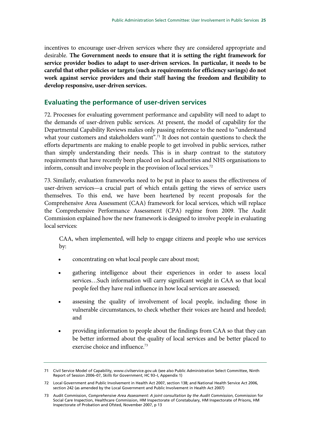incentives to encourage user-driven services where they are considered appropriate and desirable. **The Government needs to ensure that it is setting the right framework for service provider bodies to adapt to user-driven services. In particular, it needs to be careful that other policies or targets (such as requirements for efficiency savings) do not work against service providers and their staff having the freedom and flexibility to develop responsive, user-driven services.**

### **Evaluating the performance of user-driven services**

72. Processes for evaluating government performance and capability will need to adapt to the demands of user-driven public services. At present, the model of capability for the Departmental Capability Reviews makes only passing reference to the need to "understand what your customers and stakeholders want".<sup>71</sup> It does not contain questions to check the efforts departments are making to enable people to get involved in public services, rather than simply understanding their needs. This is in sharp contrast to the statutory requirements that have recently been placed on local authorities and NHS organisations to inform, consult and involve people in the provision of local services.72

73. Similarly, evaluation frameworks need to be put in place to assess the effectiveness of user-driven services—a crucial part of which entails getting the views of service users themselves. To this end, we have been heartened by recent proposals for the Comprehensive Area Assessment (CAA) framework for local services, which will replace the Comprehensive Performance Assessment (CPA) regime from 2009. The Audit Commission explained how the new framework is designed to involve people in evaluating local services:

CAA, when implemented, will help to engage citizens and people who use services by:

- concentrating on what local people care about most;
- gathering intelligence about their experiences in order to assess local services…Such information will carry significant weight in CAA so that local people feel they have real influence in how local services are assessed;
- assessing the quality of involvement of local people, including those in vulnerable circumstances, to check whether their voices are heard and heeded; and
- providing information to people about the findings from CAA so that they can be better informed about the quality of local services and be better placed to exercise choice and influence.73

<sup>71</sup> Civil Service Model of Capability, www.civilservice.gov.uk (see also Public Administration Select Committee, Ninth Report of Session 2006–07, *Skills for Government*, HC 93–I, Appendix 1)

<sup>72</sup> Local Government and Public Involvement in Health Act 2007, section 138; and National Health Service Act 2006, section 242 (as amended by the Local Government and Public Involvement in Health Act 2007)

<sup>73</sup> Audit Commission, *Comprehensive Area Assessment: A joint consultation by the Audit Commission*, Commission for Social Care Inspection, Healthcare Commission, HM Inspectorate of Constabulary, HM Inspectorate of Prisons, HM Inspectorate of Probation and Ofsted, November 2007, p 13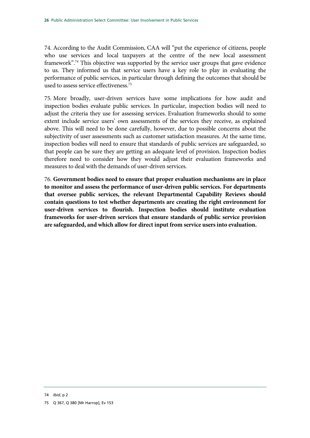74. According to the Audit Commission, CAA will "put the experience of citizens, people who use services and local taxpayers at the centre of the new local assessment framework".<sup>74</sup> This objective was supported by the service user groups that gave evidence to us. They informed us that service users have a key role to play in evaluating the performance of public services, in particular through defining the outcomes that should be used to assess service effectiveness.75

75. More broadly, user-driven services have some implications for how audit and inspection bodies evaluate public services. In particular, inspection bodies will need to adjust the criteria they use for assessing services. Evaluation frameworks should to some extent include service users' own assessments of the services they receive, as explained above. This will need to be done carefully, however, due to possible concerns about the subjectivity of user assessments such as customer satisfaction measures. At the same time, inspection bodies will need to ensure that standards of public services are safeguarded, so that people can be sure they are getting an adequate level of provision. Inspection bodies therefore need to consider how they would adjust their evaluation frameworks and measures to deal with the demands of user-driven services.

76. **Government bodies need to ensure that proper evaluation mechanisms are in place to monitor and assess the performance of user-driven public services. For departments that oversee public services, the relevant Departmental Capability Reviews should contain questions to test whether departments are creating the right environment for user-driven services to flourish. Inspection bodies should institute evaluation frameworks for user-driven services that ensure standards of public service provision are safeguarded, and which allow for direct input from service users into evaluation.**

<sup>74</sup> *Ibid*, p 2

<sup>75</sup> Q 367, Q 380 [Mr Harrop], Ev 153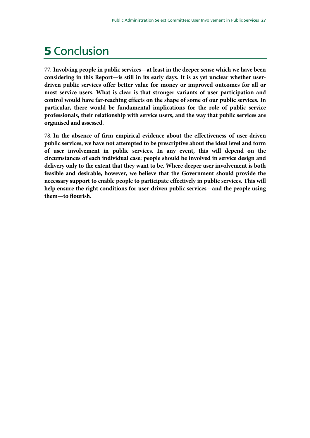## **5** Conclusion

77. **Involving people in public services—at least in the deeper sense which we have been considering in this Report—is still in its early days. It is as yet unclear whether userdriven public services offer better value for money or improved outcomes for all or most service users. What is clear is that stronger variants of user participation and control would have far-reaching effects on the shape of some of our public services. In particular, there would be fundamental implications for the role of public service professionals, their relationship with service users, and the way that public services are organised and assessed.** 

78. **In the absence of firm empirical evidence about the effectiveness of user-driven public services, we have not attempted to be prescriptive about the ideal level and form of user involvement in public services. In any event, this will depend on the circumstances of each individual case: people should be involved in service design and delivery only to the extent that they want to be. Where deeper user involvement is both feasible and desirable, however, we believe that the Government should provide the necessary support to enable people to participate effectively in public services. This will help ensure the right conditions for user-driven public services—and the people using them—to flourish.**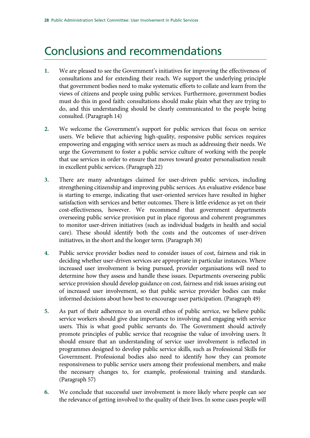### Conclusions and recommendations

- **1.** We are pleased to see the Government's initiatives for improving the effectiveness of consultations and for extending their reach. We support the underlying principle that government bodies need to make systematic efforts to collate and learn from the views of citizens and people using public services. Furthermore, government bodies must do this in good faith: consultations should make plain what they are trying to do, and this understanding should be clearly communicated to the people being consulted. (Paragraph 14)
- **2.** We welcome the Government's support for public services that focus on service users. We believe that achieving high-quality, responsive public services requires empowering and engaging with service users as much as addressing their needs. We urge the Government to foster a public service culture of working with the people that use services in order to ensure that moves toward greater personalisation result in excellent public services. (Paragraph 22)
- **3.** There are many advantages claimed for user-driven public services, including strengthening citizenship and improving public services. An evaluative evidence base is starting to emerge, indicating that user-oriented services have resulted in higher satisfaction with services and better outcomes. There is little evidence as yet on their cost-effectiveness, however. We recommend that government departments overseeing public service provision put in place rigorous and coherent programmes to monitor user-driven initiatives (such as individual budgets in health and social care). These should identify both the costs and the outcomes of user-driven initiatives, in the short and the longer term. (Paragraph 38)
- **4.** Public service provider bodies need to consider issues of cost, fairness and risk in deciding whether user-driven services are appropriate in particular instances. Where increased user involvement is being pursued, provider organisations will need to determine how they assess and handle these issues. Departments overseeing public service provision should develop guidance on cost, fairness and risk issues arising out of increased user involvement, so that public service provider bodies can make informed decisions about how best to encourage user participation. (Paragraph 49)
- **5.** As part of their adherence to an overall ethos of public service, we believe public service workers should give due importance to involving and engaging with service users. This is what good public servants do. The Government should actively promote principles of public service that recognise the value of involving users. It should ensure that an understanding of service user involvement is reflected in programmes designed to develop public service skills, such as Professional Skills for Government. Professional bodies also need to identify how they can promote responsiveness to public service users among their professional members, and make the necessary changes to, for example, professional training and standards. (Paragraph 57)
- **6.** We conclude that successful user involvement is more likely where people can see the relevance of getting involved to the quality of their lives. In some cases people will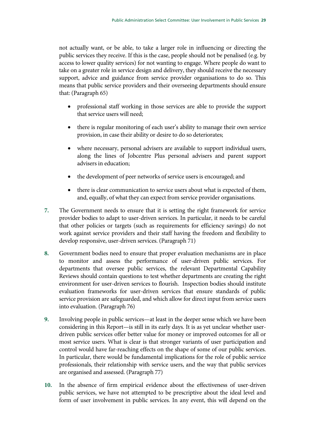not actually want, or be able, to take a larger role in influencing or directing the public services they receive. If this is the case, people should not be penalised (e.g. by access to lower quality services) for not wanting to engage. Where people do want to take on a greater role in service design and delivery, they should receive the necessary support, advice and guidance from service provider organisations to do so. This means that public service providers and their overseeing departments should ensure that: (Paragraph 65)

- professional staff working in those services are able to provide the support that service users will need;
- there is regular monitoring of each user's ability to manage their own service provision, in case their ability or desire to do so deteriorates;
- where necessary, personal advisers are available to support individual users, along the lines of Jobcentre Plus personal advisers and parent support advisers in education;
- the development of peer networks of service users is encouraged; and
- there is clear communication to service users about what is expected of them, and, equally, of what they can expect from service provider organisations.
- **7.** The Government needs to ensure that it is setting the right framework for service provider bodies to adapt to user-driven services. In particular, it needs to be careful that other policies or targets (such as requirements for efficiency savings) do not work against service providers and their staff having the freedom and flexibility to develop responsive, user-driven services. (Paragraph 71)
- **8.** Government bodies need to ensure that proper evaluation mechanisms are in place to monitor and assess the performance of user-driven public services. For departments that oversee public services, the relevant Departmental Capability Reviews should contain questions to test whether departments are creating the right environment for user-driven services to flourish. Inspection bodies should institute evaluation frameworks for user-driven services that ensure standards of public service provision are safeguarded, and which allow for direct input from service users into evaluation. (Paragraph 76)
- **9.** Involving people in public services—at least in the deeper sense which we have been considering in this Report—is still in its early days. It is as yet unclear whether userdriven public services offer better value for money or improved outcomes for all or most service users. What is clear is that stronger variants of user participation and control would have far-reaching effects on the shape of some of our public services. In particular, there would be fundamental implications for the role of public service professionals, their relationship with service users, and the way that public services are organised and assessed. (Paragraph 77)
- **10.** In the absence of firm empirical evidence about the effectiveness of user-driven public services, we have not attempted to be prescriptive about the ideal level and form of user involvement in public services. In any event, this will depend on the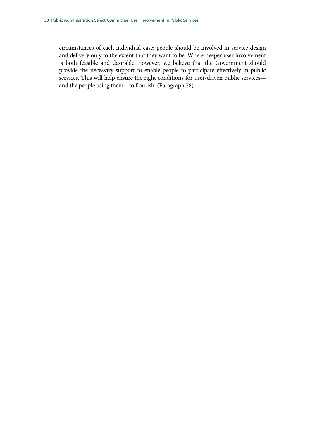circumstances of each individual case: people should be involved in service design and delivery only to the extent that they want to be. Where deeper user involvement is both feasible and desirable, however, we believe that the Government should provide the necessary support to enable people to participate effectively in public services. This will help ensure the right conditions for user-driven public services and the people using them—to flourish. (Paragraph 78)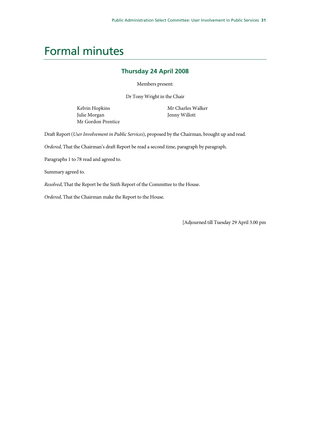### Formal minutes

#### **Thursday 24 April 2008**

Members present:

Dr Tony Wright in the Chair

Kelvin Hopkins Julie Morgan Mr Gordon Prentice  Mr Charles Walker Jenny Willott

Draft Report (*User Involvement in Public Services*), proposed by the Chairman, brought up and read.

*Ordered*, That the Chairman's draft Report be read a second time, paragraph by paragraph.

Paragraphs 1 to 78 read and agreed to.

Summary agreed to.

*Resolved*, That the Report be the Sixth Report of the Committee to the House.

*Ordered*, That the Chairman make the Report to the House.

[Adjourned till Tuesday 29 April 3.00 pm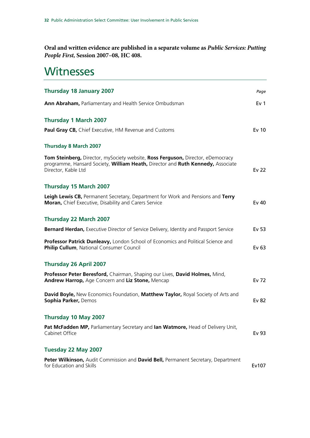**Oral and written evidence are published in a separate volume as** *Public Services: Putting People First,* **Session 2007–08***,* **HC 408.** 

### **Witnesses**

| <b>Thursday 18 January 2007</b>                                                                    | Page            |
|----------------------------------------------------------------------------------------------------|-----------------|
| Ann Abraham, Parliamentary and Health Service Ombudsman                                            | Ev <sub>1</sub> |
| <b>Thursday 1 March 2007</b>                                                                       |                 |
|                                                                                                    |                 |
| Paul Gray CB, Chief Executive, HM Revenue and Customs                                              | Ev 10           |
| <b>Thursday 8 March 2007</b>                                                                       |                 |
| Tom Steinberg, Director, mySociety website, Ross Ferguson, Director, eDemocracy                    |                 |
| programme, Hansard Society, <b>William Heath,</b> Director and <b>Ruth Kennedy,</b> Associate      |                 |
| Director, Kable Ltd                                                                                | Ev 22           |
| Thursday 15 March 2007                                                                             |                 |
| Leigh Lewis CB, Permanent Secretary, Department for Work and Pensions and Terry                    |                 |
| Moran, Chief Executive, Disability and Carers Service                                              | Ev 40           |
|                                                                                                    |                 |
| Thursday 22 March 2007                                                                             |                 |
| Bernard Herdan, Executive Director of Service Delivery, Identity and Passport Service              | Ev 53           |
| Professor Patrick Dunleavy, London School of Economics and Political Science and                   |                 |
| Philip Cullum, National Consumer Council                                                           | Ev 63           |
| Thursday 26 April 2007                                                                             |                 |
| Professor Peter Beresford, Chairman, Shaping our Lives, David Holmes, Mind,                        |                 |
| Andrew Harrop, Age Concern and Liz Stone, Mencap                                                   | Ev 72           |
| David Boyle, New Economics Foundation, Matthew Taylor, Royal Society of Arts and                   |                 |
| Sophia Parker, Demos                                                                               | Ev 82           |
|                                                                                                    |                 |
| Thursday 10 May 2007                                                                               |                 |
| Pat McFadden MP, Parliamentary Secretary and lan Watmore, Head of Delivery Unit,<br>Cabinet Office | Ev 93           |
| Tuesday 22 May 2007                                                                                |                 |
| Peter Wilkinson, Audit Commission and David Bell, Permanent Secretary, Department                  |                 |
| for Education and Skills                                                                           | Ev107           |
|                                                                                                    |                 |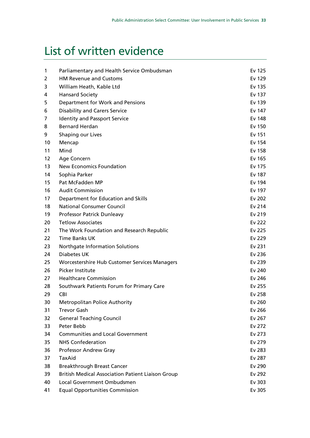## List of written evidence

| $\mathbf{1}$ | Parliamentary and Health Service Ombudsman               | Ev 125 |
|--------------|----------------------------------------------------------|--------|
| 2            | <b>HM Revenue and Customs</b>                            | Ev 129 |
| 3            | William Heath, Kable Ltd                                 | Ev 135 |
| 4            | <b>Hansard Society</b>                                   | Ev 137 |
| 5            | Department for Work and Pensions                         | Ev 139 |
| 6            | <b>Disability and Carers Service</b>                     | Ev 147 |
| 7            | <b>Identity and Passport Service</b>                     | Ev 148 |
| 8            | <b>Bernard Herdan</b>                                    | Ev 150 |
| 9            | Shaping our Lives                                        | Ev 151 |
| 10           | Mencap                                                   | Ev 154 |
| 11           | Mind                                                     | Ev 158 |
| 12           | Age Concern                                              | Ev 165 |
| 13           | New Economics Foundation                                 | Ev 175 |
| 14           | Sophia Parker                                            | Ev 187 |
| 15           | Pat McFadden MP                                          | Ev 194 |
| 16           | <b>Audit Commission</b>                                  | Ev 197 |
| 17           | Department for Education and Skills                      | Ev 202 |
| 18           | <b>National Consumer Council</b>                         | Ev 214 |
| 19           | Professor Patrick Dunleavy                               | Ev 219 |
| 20           | <b>Tetlow Associates</b>                                 | Ev 222 |
| 21           | The Work Foundation and Research Republic                | Ev 225 |
| 22           | <b>Time Banks UK</b>                                     | Ev 229 |
| 23           | Northgate Information Solutions                          | Ev 231 |
| 24           | Diabetes UK                                              | Ev 236 |
| 25           | Worcestershire Hub Customer Services Managers            | Ev 239 |
| 26           | <b>Picker Institute</b>                                  | Ev 240 |
| 27           | <b>Healthcare Commission</b>                             | Ev 246 |
| 28           | Southwark Patients Forum for Primary Care                | Ev 255 |
| 29           | <b>CBI</b>                                               | Ev 258 |
| 30           | <b>Metropolitan Police Authority</b>                     | Ev 260 |
| 31           | <b>Trevor Gash</b>                                       | Ev 266 |
| 32           | <b>General Teaching Council</b>                          | Ev 267 |
| 33           | Peter Bebb                                               | Ev 272 |
| 34           | <b>Communities and Local Government</b>                  | Ev 273 |
| 35           | <b>NHS Confederation</b>                                 | Ev 279 |
| 36           | Professor Andrew Gray                                    | Ev 283 |
| 37           | TaxAid                                                   | Ev 287 |
| 38           | <b>Breakthrough Breast Cancer</b>                        | Ev 290 |
| 39           | <b>British Medical Association Patient Liaison Group</b> | Ev 292 |
| 40           | Local Government Ombudsmen                               | Ev 303 |
| 41           | <b>Equal Opportunities Commission</b>                    | Ev 305 |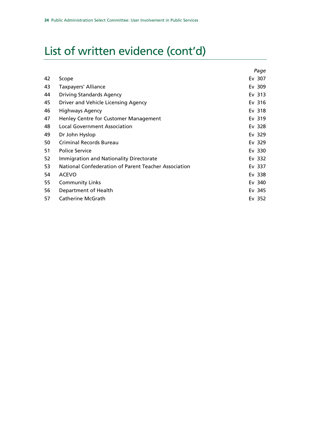### List of written evidence (cont'd)

|    |                                                      | Page   |
|----|------------------------------------------------------|--------|
| 42 | Scope                                                | Ev 307 |
| 43 | Taxpayers' Alliance                                  | Ev 309 |
| 44 | <b>Driving Standards Agency</b>                      | Ev 313 |
| 45 | Driver and Vehicle Licensing Agency                  | Ev 316 |
| 46 | <b>Highways Agency</b>                               | Ev 318 |
| 47 | Henley Centre for Customer Management                | Ev 319 |
| 48 | <b>Local Government Association</b>                  | Ev 328 |
| 49 | Dr John Hyslop                                       | Ev 329 |
| 50 | Criminal Records Bureau                              | Ev 329 |
| 51 | Police Service                                       | Ev 330 |
| 52 | Immigration and Nationality Directorate              | Ev 332 |
| 53 | National Confederation of Parent Teacher Association | Ev 337 |
| 54 | <b>ACEVO</b>                                         | Ev 338 |
| 55 | <b>Community Links</b>                               | Ev 340 |
| 56 | Department of Health                                 | Ev 345 |
| 57 | Catherine McGrath                                    | Ev 352 |